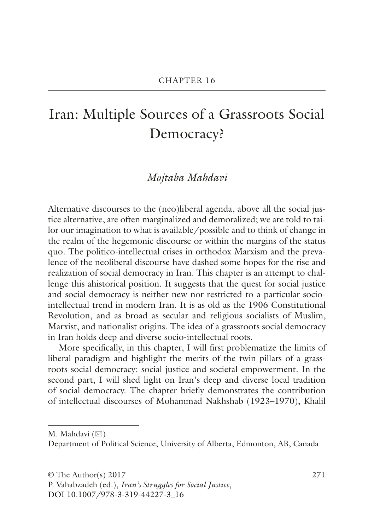# Iran: Multiple Sources of a Grassroots Social Democracy?

#### *Mojtaba Mahdavi*

Alternative discourses to the (neo)liberal agenda, above all the social justice alternative, are often marginalized and demoralized; we are told to tailor our imagination to what is available/possible and to think of change in the realm of the hegemonic discourse or within the margins of the status quo. The politico-intellectual crises in orthodox Marxism and the prevalence of the neoliberal discourse have dashed some hopes for the rise and realization of social democracy in Iran. This chapter is an attempt to challenge this ahistorical position. It suggests that the quest for social justice and social democracy is neither new nor restricted to a particular sociointellectual trend in modern Iran. It is as old as the 1906 Constitutional Revolution, and as broad as secular and religious socialists of Muslim, Marxist, and nationalist origins. The idea of a grassroots social democracy in Iran holds deep and diverse socio-intellectual roots.

More specifcally, in this chapter, I will frst problematize the limits of liberal paradigm and highlight the merits of the twin pillars of a grassroots social democracy: social justice and societal empowerment. In the second part, I will shed light on Iran's deep and diverse local tradition of social democracy. The chapter briefy demonstrates the contribution of intellectual discourses of Mohammad Nakhshab (1923–1970), Khalil

M. Mahdavi  $(\boxtimes)$ 

Department of Political Science, University of Alberta, Edmonton, AB, Canada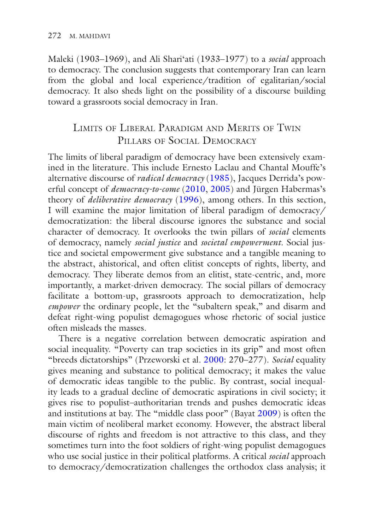Maleki (1903–1969), and Ali Shari'ati (1933–1977) to a *social* approach to democracy. The conclusion suggests that contemporary Iran can learn from the global and local experience/tradition of egalitarian/social democracy. It also sheds light on the possibility of a discourse building toward a grassroots social democracy in Iran.

## LIMITS OF LIBERAL PARADIGM AND MERITS OF TWIN PILLARS OF SOCIAL DEMOCRACY

The limits of liberal paradigm of democracy have been extensively examined in the literature. This include Ernesto Laclau and Chantal Mouffe's alternative discourse of *radical democracy* [\(1985\)](#page-16-0), Jacques Derrida's powerful concept of *democracy-to-come* [\(2010](#page-16-1), [2005\)](#page-16-2) and Jürgen Habermas's theory of *deliberative democracy* ([1996](#page-16-3)), among others. In this section, I will examine the major limitation of liberal paradigm of democracy/ democratization: the liberal discourse ignores the substance and social character of democracy. It overlooks the twin pillars of *social* elements of democracy, namely *social justice* and *societal empowerment*. Social justice and societal empowerment give substance and a tangible meaning to the abstract, ahistorical, and often elitist concepts of rights, liberty, and democracy. They liberate demos from an elitist, state-centric, and, more importantly, a market-driven democracy. The social pillars of democracy facilitate a bottom-up, grassroots approach to democratization, help *empower* the ordinary people, let the "subaltern speak," and disarm and defeat right-wing populist demagogues whose rhetoric of social justice often misleads the masses.

There is a negative correlation between democratic aspiration and social inequality. "Poverty can trap societies in its grip" and most often "breeds dictatorships" (Przeworski et al. [2000](#page-17-0): 270–277). *Social* equality gives meaning and substance to political democracy; it makes the value of democratic ideas tangible to the public. By contrast, social inequality leads to a gradual decline of democratic aspirations in civil society; it gives rise to populist–authoritarian trends and pushes democratic ideas and institutions at bay. The "middle class poor" (Bayat [2009\)](#page-15-0) is often the main victim of neoliberal market economy. However, the abstract liberal discourse of rights and freedom is not attractive to this class, and they sometimes turn into the foot soldiers of right-wing populist demagogues who use social justice in their political platforms. A critical *social* approach to democracy/democratization challenges the orthodox class analysis; it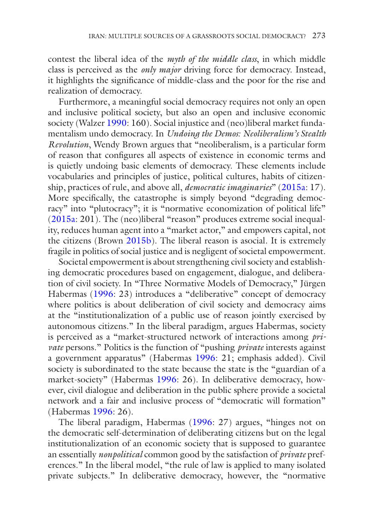contest the liberal idea of the *myth of the middle class*, in which middle class is perceived as the *only major* driving force for democracy. Instead, it highlights the signifcance of middle-class and the poor for the rise and realization of democracy.

Furthermore, a meaningful social democracy requires not only an open and inclusive political society, but also an open and inclusive economic society (Walzer [1990](#page-17-1): 160). Social injustice and (neo)liberal market fundamentalism undo democracy. In *Undoing the Demos: Neoliberalism's Stealth Revolution*, Wendy Brown argues that "neoliberalism, is a particular form of reason that confgures all aspects of existence in economic terms and is quietly undoing basic elements of democracy. These elements include vocabularies and principles of justice, political cultures, habits of citizenship, practices of rule, and above all, *democratic imaginaries*" ([2015a:](#page-15-1) 17). More specifcally, the catastrophe is simply beyond "degrading democracy" into "plutocracy"; it is "normative economization of political life" ([2015a](#page-15-1): 201). The (neo)liberal "reason" produces extreme social inequality, reduces human agent into a "market actor," and empowers capital, not the citizens (Brown [2015b\)](#page-15-2). The liberal reason is asocial. It is extremely fragile in politics of social justice and is negligent of societal empowerment.

Societal empowerment is about strengthening civil society and establishing democratic procedures based on engagement, dialogue, and deliberation of civil society. In "Three Normative Models of Democracy," Jürgen Habermas ([1996](#page-16-3): 23) introduces a "deliberative" concept of democracy where politics is about deliberation of civil society and democracy aims at the "institutionalization of a public use of reason jointly exercised by autonomous citizens." In the liberal paradigm, argues Habermas, society is perceived as a "market-structured network of interactions among *private* persons." Politics is the function of "pushing *private* interests against a government apparatus" (Habermas [1996:](#page-16-3) 21; emphasis added). Civil society is subordinated to the state because the state is the "guardian of a market-society" (Habermas [1996](#page-16-3): 26). In deliberative democracy, however, civil dialogue and deliberation in the public sphere provide a societal network and a fair and inclusive process of "democratic will formation" (Habermas [1996](#page-16-3): 26).

The liberal paradigm, Habermas ([1996](#page-16-3): 27) argues, "hinges not on the democratic self-determination of deliberating citizens but on the legal institutionalization of an economic society that is supposed to guarantee an essentially *nonpolitical* common good by the satisfaction of *private* preferences." In the liberal model, "the rule of law is applied to many isolated private subjects." In deliberative democracy, however, the "normative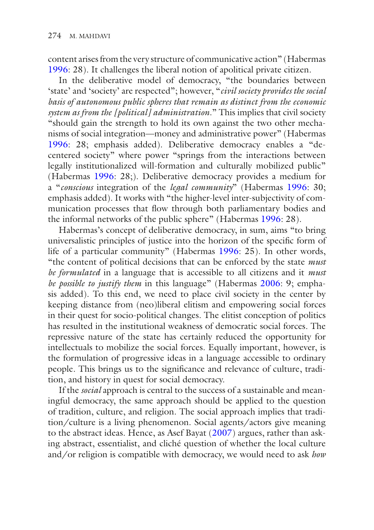content arises from the very structure of communicative action" (Habermas [1996](#page-16-3): 28). It challenges the liberal notion of apolitical private citizen.

In the deliberative model of democracy, "the boundaries between 'state' and 'society' are respected"; however, "*civil society provides the social basis of autonomous public spheres that remain as distinct from the economic system as from the [political] administration*." This implies that civil society "should gain the strength to hold its own against the two other mechanisms of social integration—money and administrative power" (Habermas [1996](#page-16-3): 28; emphasis added). Deliberative democracy enables a "decentered society" where power "springs from the interactions between legally institutionalized will-formation and culturally mobilized public" (Habermas [1996:](#page-16-3) 28;). Deliberative democracy provides a medium for a "*conscious* integration of the *legal community*" (Habermas [1996](#page-16-3): 30; emphasis added). It works with "the higher-level inter-subjectivity of communication processes that fow through both parliamentary bodies and the informal networks of the public sphere" (Habermas [1996](#page-16-3): 28).

Habermas's concept of deliberative democracy, in sum, aims "to bring universalistic principles of justice into the horizon of the specifc form of life of a particular community" (Habermas [1996:](#page-16-3) 25). In other words, "the content of political decisions that can be enforced by the state *must be formulated* in a language that is accessible to all citizens and it *must be possible to justify them* in this language" (Habermas [2006:](#page-16-4) 9; emphasis added). To this end, we need to place civil society in the center by keeping distance from (neo)liberal elitism and empowering social forces in their quest for socio-political changes. The elitist conception of politics has resulted in the institutional weakness of democratic social forces. The repressive nature of the state has certainly reduced the opportunity for intellectuals to mobilize the social forces. Equally important, however, is the formulation of progressive ideas in a language accessible to ordinary people. This brings us to the signifcance and relevance of culture, tradition, and history in quest for social democracy.

If the *social* approach is central to the success of a sustainable and meaningful democracy, the same approach should be applied to the question of tradition, culture, and religion. The social approach implies that tradition/culture is a living phenomenon. Social agents/actors give meaning to the abstract ideas. Hence, as Asef Bayat [\(2007\)](#page-15-3) argues, rather than asking abstract, essentialist, and cliché question of whether the local culture and/or religion is compatible with democracy, we would need to ask *how*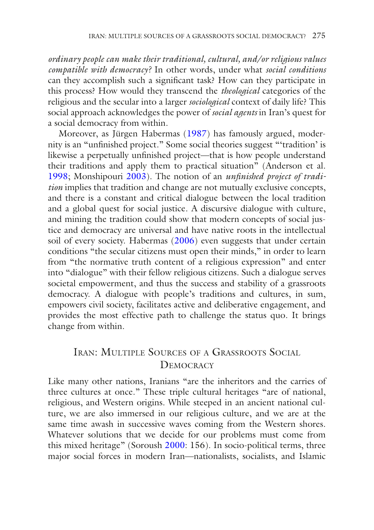*ordinary people can make their traditional, cultural, and/or religious values compatible with democracy?* In other words, under what *social conditions* can they accomplish such a signifcant task? How can they participate in this process? How would they transcend the *theological* categories of the religious and the secular into a larger *sociological* context of daily life? This social approach acknowledges the power of *social agents* in Iran's quest for a social democracy from within.

Moreover, as Jürgen Habermas ([1987](#page-16-5)) has famously argued, modernity is an "unfnished project." Some social theories suggest "'tradition' is likewise a perpetually unfnished project—that is how people understand their traditions and apply them to practical situation" (Anderson et al. [1998](#page-15-4); Monshipouri [2003](#page-16-6)). The notion of an *unfnished project of tradition* implies that tradition and change are not mutually exclusive concepts, and there is a constant and critical dialogue between the local tradition and a global quest for social justice. A discursive dialogue with culture, and mining the tradition could show that modern concepts of social justice and democracy are universal and have native roots in the intellectual soil of every society. Habermas ([2006](#page-16-4)) even suggests that under certain conditions "the secular citizens must open their minds," in order to learn from "the normative truth content of a religious expression" and enter into "dialogue" with their fellow religious citizens. Such a dialogue serves societal empowerment, and thus the success and stability of a grassroots democracy. A dialogue with people's traditions and cultures, in sum, empowers civil society, facilitates active and deliberative engagement, and provides the most effective path to challenge the status quo. It brings change from within.

## IRAN: MULTIPLE SOURCES OF <sup>A</sup> GRASSROOTS SOCIAL **DEMOCRACY**

Like many other nations, Iranians "are the inheritors and the carries of three cultures at once." These triple cultural heritages "are of national, religious, and Western origins. While steeped in an ancient national culture, we are also immersed in our religious culture, and we are at the same time awash in successive waves coming from the Western shores. Whatever solutions that we decide for our problems must come from this mixed heritage" (Soroush [2000:](#page-17-2) 156). In socio-political terms, three major social forces in modern Iran—nationalists, socialists, and Islamic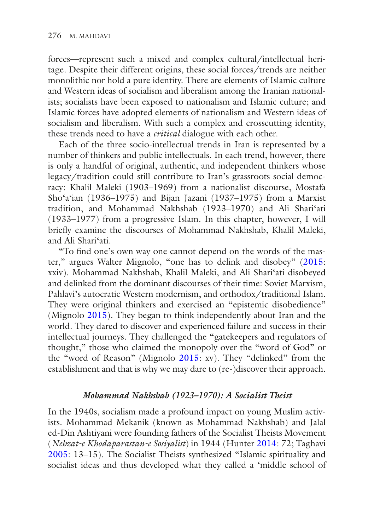forces—represent such a mixed and complex cultural/intellectual heritage. Despite their different origins, these social forces/trends are neither monolithic nor hold a pure identity. There are elements of Islamic culture and Western ideas of socialism and liberalism among the Iranian nationalists; socialists have been exposed to nationalism and Islamic culture; and Islamic forces have adopted elements of nationalism and Western ideas of socialism and liberalism. With such a complex and crosscutting identity, these trends need to have a *critical* dialogue with each other.

Each of the three socio-intellectual trends in Iran is represented by a number of thinkers and public intellectuals. In each trend, however, there is only a handful of original, authentic, and independent thinkers whose legacy/tradition could still contribute to Iran's grassroots social democracy: Khalil Maleki (1903–1969) from a nationalist discourse, Mostafa Sho'a'ian (1936–1975) and Bijan Jazani (1937–1975) from a Marxist tradition, and Mohammad Nakhshab (1923–1970) and Ali Shari'ati (1933–1977) from a progressive Islam. In this chapter, however, I will briefy examine the discourses of Mohammad Nakhshab, Khalil Maleki, and Ali Shari'ati.

"To fnd one's own way one cannot depend on the words of the master," argues Walter Mignolo, "one has to delink and disobey" [\(2015:](#page-16-7) xxiv). Mohammad Nakhshab, Khalil Maleki, and Ali Shari'ati disobeyed and delinked from the dominant discourses of their time: Soviet Marxism, Pahlavi's autocratic Western modernism, and orthodox/traditional Islam. They were original thinkers and exercised an "epistemic disobedience" (Mignolo [2015](#page-16-7)). They began to think independently about Iran and the world. They dared to discover and experienced failure and success in their intellectual journeys. They challenged the "gatekeepers and regulators of thought," those who claimed the monopoly over the "word of God" or the "word of Reason" (Mignolo [2015](#page-16-7): xv). They "delinked" from the establishment and that is why we may dare to (re-)discover their approach.

#### *Mohammad Nakhshab (1923–1970): A Socialist Theist*

In the 1940s, socialism made a profound impact on young Muslim activists. Mohammad Mekanik (known as Mohammad Nakhshab) and Jalal ed-Din Ashtiyani were founding fathers of the Socialist Theists Movement (*Nehzat-e Khodaparastan-e Sosiyalist*) in 1944 (Hunter [2014](#page-16-8): 72; Taghavi [2005](#page-17-3): 13–15). The Socialist Theists synthesized "Islamic spirituality and socialist ideas and thus developed what they called a 'middle school of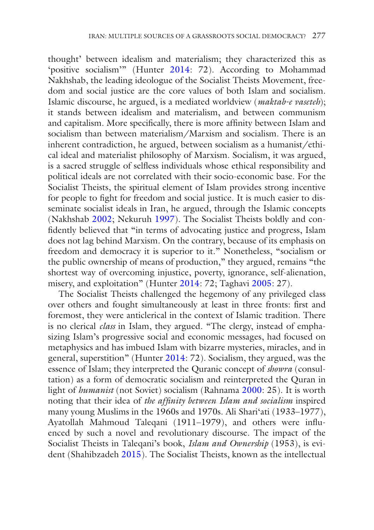thought' between idealism and materialism; they characterized this as 'positive socialism'" (Hunter [2014](#page-16-8): 72). According to Mohammad Nakhshab, the leading ideologue of the Socialist Theists Movement, freedom and social justice are the core values of both Islam and socialism. Islamic discourse, he argued, is a mediated worldview (*maktab-e vaseteh*); it stands between idealism and materialism, and between communism and capitalism. More specifcally, there is more affnity between Islam and socialism than between materialism/Marxism and socialism. There is an inherent contradiction, he argued, between socialism as a humanist/ethical ideal and materialist philosophy of Marxism. Socialism, it was argued, is a sacred struggle of selfess individuals whose ethical responsibility and political ideals are not correlated with their socio-economic base. For the Socialist Theists, the spiritual element of Islam provides strong incentive for people to fght for freedom and social justice. It is much easier to disseminate socialist ideals in Iran, he argued, through the Islamic concepts (Nakhshab [2002;](#page-16-9) Nekuruh [1997](#page-16-10)). The Socialist Theists boldly and confdently believed that "in terms of advocating justice and progress, Islam does not lag behind Marxism. On the contrary, because of its emphasis on freedom and democracy it is superior to it." Nonetheless, "socialism or the public ownership of means of production," they argued, remains "the shortest way of overcoming injustice, poverty, ignorance, self-alienation, misery, and exploitation" (Hunter [2014](#page-16-8): 72; Taghavi [2005](#page-17-3): 27).

The Socialist Theists challenged the hegemony of any privileged class over others and fought simultaneously at least in three fronts: frst and foremost, they were anticlerical in the context of Islamic tradition. There is no clerical *class* in Islam, they argued. "The clergy, instead of emphasizing Islam's progressive social and economic messages, had focused on metaphysics and has imbued Islam with bizarre mysteries, miracles, and in general, superstition" (Hunter [2014](#page-16-8): 72). Socialism, they argued, was the essence of Islam; they interpreted the Quranic concept of *showra* (consultation) as a form of democratic socialism and reinterpreted the Quran in light of *humanist* (not Soviet) socialism (Rahnama [2000:](#page-17-4) 25). It is worth noting that their idea of *the affnity between Islam and socialism* inspired many young Muslims in the 1960s and 1970s. Ali Shari'ati (1933–1977), Ayatollah Mahmoud Taleqani (1911–1979), and others were infuenced by such a novel and revolutionary discourse. The impact of the Socialist Theists in Taleqani's book, *Islam and Ownership* (1953), is evident (Shahibzadeh [2015\)](#page-17-5). The Socialist Theists, known as the intellectual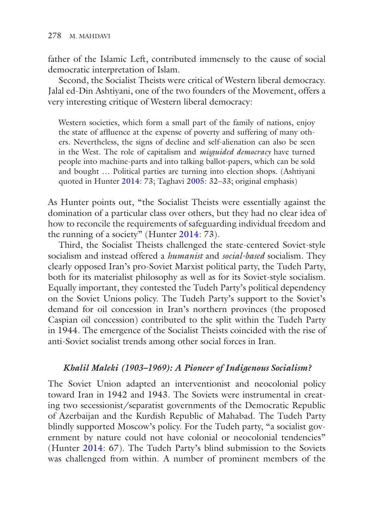father of the Islamic Left, contributed immensely to the cause of social democratic interpretation of Islam.

Second, the Socialist Theists were critical of Western liberal democracy. Jalal ed-Din Ashtiyani, one of the two founders of the Movement, offers a very interesting critique of Western liberal democracy:

Western societies, which form a small part of the family of nations, enjoy the state of affuence at the expense of poverty and suffering of many others. Nevertheless, the signs of decline and self-alienation can also be seen in the West. The role of capitalism and *misguided democracy* have turned people into machine-parts and into talking ballot-papers, which can be sold and bought … Political parties are turning into election shops. (Ashtiyani quoted in Hunter [2014:](#page-16-8) 73; Taghavi [2005:](#page-17-3) 32–33; original emphasis)

As Hunter points out, "the Socialist Theists were essentially against the domination of a particular class over others, but they had no clear idea of how to reconcile the requirements of safeguarding individual freedom and the running of a society" (Hunter [2014](#page-16-8): 73).

Third, the Socialist Theists challenged the state-centered Soviet-style socialism and instead offered a *humanist* and *social-based* socialism. They clearly opposed Iran's pro-Soviet Marxist political party, the Tudeh Party, both for its materialist philosophy as well as for its Soviet-style socialism. Equally important, they contested the Tudeh Party's political dependency on the Soviet Unions policy. The Tudeh Party's support to the Soviet's demand for oil concession in Iran's northern provinces (the proposed Caspian oil concession) contributed to the split within the Tudeh Party in 1944. The emergence of the Socialist Theists coincided with the rise of anti-Soviet socialist trends among other social forces in Iran.

#### *Khalil Maleki (1903–1969): A Pioneer of Indigenous Socialism?*

The Soviet Union adapted an interventionist and neocolonial policy toward Iran in 1942 and 1943. The Soviets were instrumental in creating two secessionist/separatist governments of the Democratic Republic of Azerbaijan and the Kurdish Republic of Mahabad. The Tudeh Party blindly supported Moscow's policy. For the Tudeh party, "a socialist government by nature could not have colonial or neocolonial tendencies" (Hunter [2014:](#page-16-8) 67). The Tudeh Party's blind submission to the Soviets was challenged from within. A number of prominent members of the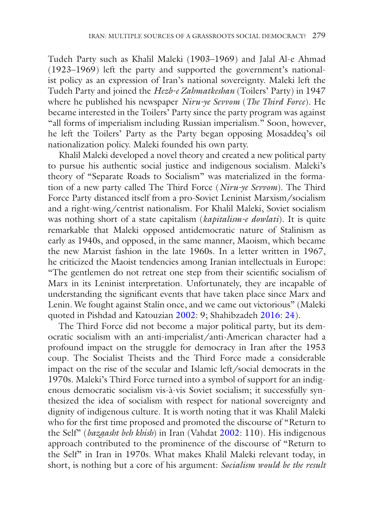Tudeh Party such as Khalil Maleki (1903–1969) and Jalal Al-e Ahmad (1923–1969) left the party and supported the government's nationalist policy as an expression of Iran's national sovereignty. Maleki left the Tudeh Party and joined the *Hezb-e Zahmatkeshan* (Toilers' Party) in 1947 where he published his newspaper *Niru-ye Sevvom* (*The Third Force*). He became interested in the Toilers' Party since the party program was against "all forms of imperialism including Russian imperialism." Soon, however, he left the Toilers' Party as the Party began opposing Mosaddeq's oil nationalization policy. Maleki founded his own party.

Khalil Maleki developed a novel theory and created a new political party to pursue his authentic social justice and indigenous socialism. Maleki's theory of "Separate Roads to Socialism" was materialized in the formation of a new party called The Third Force (*Niru-ye Sevvom*). The Third Force Party distanced itself from a pro-Soviet Leninist Marxism/socialism and a right-wing/centrist nationalism. For Khalil Maleki, Soviet socialism was nothing short of a state capitalism (*kapitalism-e dowlati*). It is quite remarkable that Maleki opposed antidemocratic nature of Stalinism as early as 1940s, and opposed, in the same manner, Maoism, which became the new Marxist fashion in the late 1960s. In a letter written in 1967, he criticized the Maoist tendencies among Iranian intellectuals in Europe: "The gentlemen do not retreat one step from their scientifc socialism of Marx in its Leninist interpretation. Unfortunately, they are incapable of understanding the signifcant events that have taken place since Marx and Lenin. We fought against Stalin once, and we came out victorious" (Maleki quoted in Pishdad and Katouzian [2002](#page-16-11): 9; Shahibzadeh [2016: 24](#page-17-5)).

The Third Force did not become a major political party, but its democratic socialism with an anti-imperialist/anti-American character had a profound impact on the struggle for democracy in Iran after the 1953 coup. The Socialist Theists and the Third Force made a considerable impact on the rise of the secular and Islamic left/social democrats in the 1970s. Maleki's Third Force turned into a symbol of support for an indigenous democratic socialism vis-à-vis Soviet socialism; it successfully synthesized the idea of socialism with respect for national sovereignty and dignity of indigenous culture. It is worth noting that it was Khalil Maleki who for the frst time proposed and promoted the discourse of "Return to the Self" (*bazgasht beh khish*) in Iran (Vahdat [2002:](#page-17-6) 110). His indigenous approach contributed to the prominence of the discourse of "Return to the Self" in Iran in 1970s. What makes Khalil Maleki relevant today, in short, is nothing but a core of his argument: *Socialism would be the result*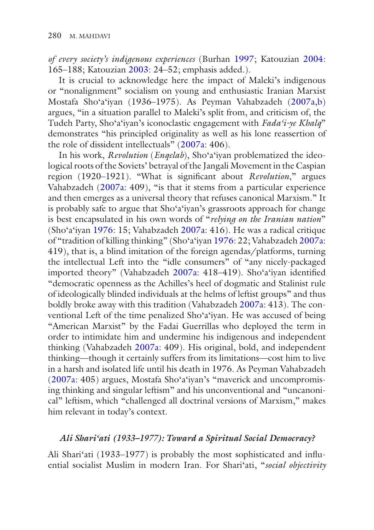*of every society's indigenous experiences* (Burhan [1997](#page-15-5); Katouzian [2004:](#page-16-12) 165–188; Katouzian [2003:](#page-16-13) 24–52; emphasis added.).

It is crucial to acknowledge here the impact of Maleki's indigenous or "nonalignment" socialism on young and enthusiastic Iranian Marxist Mostafa Sho'a'iyan (1936–1975). As Peyman Vahabzadeh ([2007a](#page-17-7)[,b\)](#page-17-8) argues, "in a situation parallel to Maleki's split from, and criticism of, the Tudeh Party, Sho'a'iyan's iconoclastic engagement with *Fada'i-ye Khalq*" demonstrates "his principled originality as well as his lone reassertion of the role of dissident intellectuals" ([2007a:](#page-17-7) 406).

In his work, *Revolution* (*Enqelab*), Sho'a'iyan problematized the ideological roots of the Soviets' betrayal of the Jangali Movement in the Caspian region (1920–1921). "What is signifcant about *Revolution*," argues Vahabzadeh [\(2007a](#page-17-7): 409), "is that it stems from a particular experience and then emerges as a universal theory that refuses canonical Marxism." It is probably safe to argue that Sho'a'iyan's grassroots approach for change is best encapsulated in his own words of "*relying on the Iranian nation*" (Sho'a'iyan [1976:](#page-17-9) 15; Vahabzadeh [2007a:](#page-17-7) 416). He was a radical critique of "tradition of killing thinking" (Sho'a'iyan [1976](#page-17-9): 22; Vahabzadeh [2007a:](#page-17-7) 419), that is, a blind imitation of the foreign agendas/platforms, turning the intellectual Left into the "idle consumers" of "any nicely-packaged imported theory" (Vahabzadeh [2007a](#page-17-7): 418–419). Sho'a'iyan identifed "democratic openness as the Achilles's heel of dogmatic and Stalinist rule of ideologically blinded individuals at the helms of leftist groups" and thus boldly broke away with this tradition (Vahabzadeh [2007a:](#page-17-7) 413). The conventional Left of the time penalized Sho'a'iyan. He was accused of being "American Marxist" by the Fadai Guerrillas who deployed the term in order to intimidate him and undermine his indigenous and independent thinking (Vahabzadeh [2007a](#page-17-7): 409). His original, bold, and independent thinking—though it certainly suffers from its limitations—cost him to live in a harsh and isolated life until his death in 1976. As Peyman Vahabzadeh ([2007a](#page-17-7): 405) argues, Mostafa Sho'a'iyan's "maverick and uncompromising thinking and singular leftism" and his unconventional and "uncanonical" leftism, which "challenged all doctrinal versions of Marxism," makes him relevant in today's context.

#### *Ali Shari'ati (1933–1977): Toward a Spiritual Social Democracy?*

Ali Shari'ati (1933–1977) is probably the most sophisticated and infuential socialist Muslim in modern Iran. For Shari'ati, "*social objectivity*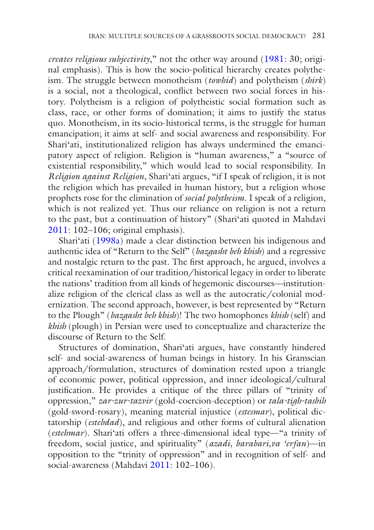*creates religious subjectivity*," not the other way around [\(1981](#page-17-10): 30; original emphasis). This is how the socio-political hierarchy creates polytheism. The struggle between monotheism (*towhid*) and polytheism (*shirk*) is a social, not a theological, confict between two social forces in history. Polytheism is a religion of polytheistic social formation such as class, race, or other forms of domination; it aims to justify the status quo. Monotheism, in its socio-historical terms, is the struggle for human emancipation; it aims at self- and social awareness and responsibility. For Shari'ati, institutionalized religion has always undermined the emancipatory aspect of religion. Religion is "human awareness," a "source of existential responsibility," which would lead to social responsibility. In *Religion against Religion*, Shari'ati argues, "if I speak of religion, it is not the religion which has prevailed in human history, but a religion whose prophets rose for the elimination of *social polytheism*. I speak of a religion, which is not realized yet. Thus our reliance on religion is not a return to the past, but a continuation of history" (Shari'ati quoted in Mahdavi [2011](#page-16-14): 102–106; original emphasis).

Shari'ati ([1998a](#page-17-11)) made a clear distinction between his indigenous and authentic idea of "Return to the Self" (*bazgasht beh khish*) and a regressive and nostalgic return to the past. The frst approach, he argued, involves a critical reexamination of our tradition/historical legacy in order to liberate the nations' tradition from all kinds of hegemonic discourses—institutionalize religion of the clerical class as well as the autocratic/colonial modernization. The second approach, however, is best represented by "Return to the Plough" (*bazgasht beh khish*)! The two homophones *khish* (self) and *khish* (plough) in Persian were used to conceptualize and characterize the discourse of Return to the Self.

Structures of domination, Shari'ati argues, have constantly hindered self- and social-awareness of human beings in history. In his Gramscian approach/formulation, structures of domination rested upon a triangle of economic power, political oppression, and inner ideological/cultural justifcation. He provides a critique of the three pillars of "trinity of oppression," *zar-zur-tazvir* (gold-coercion-deception) or *tala-tigh-tasbih* (gold-sword-rosary), meaning material injustice (*estesmar*), political dictatorship (*estebdad*), and religious and other forms of cultural alienation (*estehmar*). Shari'ati offers a three-dimensional ideal type—"a trinity of freedom, social justice, and spirituality" (*azadi, barabari,va 'erfan*)—in opposition to the "trinity of oppression" and in recognition of self- and social-awareness (Mahdavi [2011:](#page-16-14) 102–106).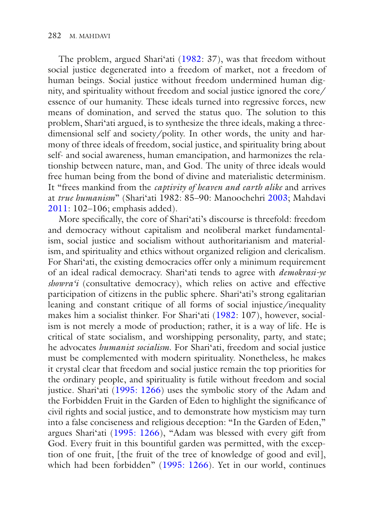The problem, argued Shari'ati ([1982](#page-17-12): 37), was that freedom without social justice degenerated into a freedom of market, not a freedom of human beings. Social justice without freedom undermined human dignity, and spirituality without freedom and social justice ignored the core/ essence of our humanity. These ideals turned into regressive forces, new means of domination, and served the status quo. The solution to this problem, Shari'ati argued, is to synthesize the three ideals, making a threedimensional self and society/polity. In other words, the unity and harmony of three ideals of freedom, social justice, and spirituality bring about self- and social awareness, human emancipation, and harmonizes the relationship between nature, man, and God. The unity of three ideals would free human being from the bond of divine and materialistic determinism. It "frees mankind from the *captivity of heaven and earth alike* and arrives at *true humanism*" (Shari'ati 1982: 85–90: Manoochehri [2003](#page-16-15); Mahdavi [2011](#page-16-14): 102–106; emphasis added).

More specifcally, the core of Shari'ati's discourse is threefold: freedom and democracy without capitalism and neoliberal market fundamentalism, social justice and socialism without authoritarianism and materialism, and spirituality and ethics without organized religion and clericalism. For Shari'ati, the existing democracies offer only a minimum requirement of an ideal radical democracy. Shari'ati tends to agree with *demokrasi-ye showra'i* (consultative democracy), which relies on active and effective participation of citizens in the public sphere. Shari'ati's strong egalitarian leaning and constant critique of all forms of social injustice/inequality makes him a socialist thinker. For Shari'ati [\(1982:](#page-17-12) 107), however, socialism is not merely a mode of production; rather, it is a way of life. He is critical of state socialism, and worshipping personality, party, and state; he advocates *humanist socialism*. For Shari'ati, freedom and social justice must be complemented with modern spirituality. Nonetheless, he makes it crystal clear that freedom and social justice remain the top priorities for the ordinary people, and spirituality is futile without freedom and social justice. Shari'ati [\(1995: 1266](#page-17-13)) uses the symbolic story of the Adam and the Forbidden Fruit in the Garden of Eden to highlight the signifcance of civil rights and social justice, and to demonstrate how mysticism may turn into a false conciseness and religious deception: "In the Garden of Eden," argues Shari'ati ([1995: 1266](#page-17-13)), "Adam was blessed with every gift from God. Every fruit in this bountiful garden was permitted, with the exception of one fruit, [the fruit of the tree of knowledge of good and evil], which had been forbidden" [\(1995: 1266\)](#page-17-13). Yet in our world, continues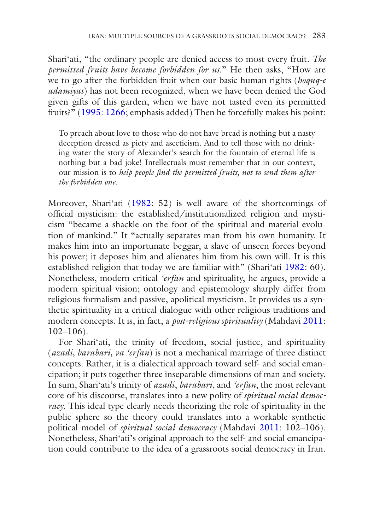Shari'ati, "the ordinary people are denied access to most every fruit. *The permitted fruits have become forbidden for us*." He then asks, "How are we to go after the forbidden fruit when our basic human rights (*hoquq-e adamiyat*) has not been recognized, when we have been denied the God given gifts of this garden, when we have not tasted even its permitted fruits?" ([1995: 1266;](#page-17-13) emphasis added) Then he forcefully makes his point:

To preach about love to those who do not have bread is nothing but a nasty deception dressed as piety and asceticism. And to tell those with no drinking water the story of Alexander's search for the fountain of eternal life is nothing but a bad joke! Intellectuals must remember that in our context, our mission is to *help people fnd the permitted fruits, not to send them after the forbidden one*.

Moreover, Shari'ati [\(1982:](#page-17-12) 52) is well aware of the shortcomings of offcial mysticism: the established/institutionalized religion and mysticism "became a shackle on the foot of the spiritual and material evolution of mankind." It "actually separates man from his own humanity. It makes him into an importunate beggar, a slave of unseen forces beyond his power; it deposes him and alienates him from his own will. It is this established religion that today we are familiar with" (Shari'ati [1982:](#page-17-12) 60). Nonetheless, modern critical *'erfan* and spirituality, he argues, provide a modern spiritual vision; ontology and epistemology sharply differ from religious formalism and passive, apolitical mysticism. It provides us a synthetic spirituality in a critical dialogue with other religious traditions and modern concepts. It is, in fact, a *post-religious spirituality* (Mahdavi [2011:](#page-16-14) 102–106).

For Shari'ati, the trinity of freedom, social justice, and spirituality (*azadi, barabari, va 'erfan*) is not a mechanical marriage of three distinct concepts. Rather, it is a dialectical approach toward self- and social emancipation; it puts together three inseparable dimensions of man and society. In sum, Shari'ati's trinity of *azadi*, *barabari*, and *'erfan*, the most relevant core of his discourse, translates into a new polity of *spiritual social democracy*. This ideal type clearly needs theorizing the role of spirituality in the public sphere so the theory could translates into a workable synthetic political model of *spiritual social democracy* (Mahdavi [2011:](#page-16-14) 102–106). Nonetheless, Shari'ati's original approach to the self- and social emancipation could contribute to the idea of a grassroots social democracy in Iran.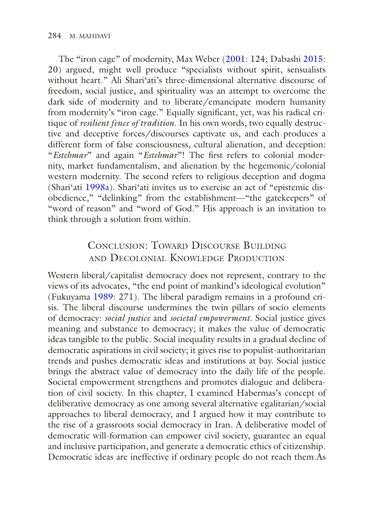The "iron cage" of modernity, Max Weber [\(2001:](#page-17-14) 124; Dabashi [2015:](#page-15-6) 20) argued, might well produce "specialists without spirit, sensualists without heart." Ali Shari'ati's three-dimensional alternative discourse of freedom, social justice, and spirituality was an attempt to overcome the dark side of modernity and to liberate/emancipate modern humanity from modernity's "iron cage." Equally signifcant, yet, was his radical critique of *resilient fence of tradition*. In his own words, two equally destructive and deceptive forces/discourses captivate us, and each produces a different form of false consciousness, cultural alienation, and deception: "*Estehmar*" and again "*Estehmar*"! The frst refers to colonial modernity, market fundamentalism, and alienation by the hegemonic/colonial western modernity. The second refers to religious deception and dogma (Shari'ati [1998a\)](#page-17-11). Shari'ati invites us to exercise an act of "epistemic disobedience," "delinking" from the establishment—"the gatekeepers" of "word of reason" and "word of God." His approach is an invitation to think through a solution from within.

## CONCLUSION: TOWARD DISCOURSE BUILDING AND DECOLONIAL KNOWLEDGE PRODUCTION

Western liberal/capitalist democracy does not represent, contrary to the views of its advocates, "the end point of mankind's ideological evolution" (Fukuyama [1989](#page-16-16): 271). The liberal paradigm remains in a profound crisis. The liberal discourse undermines the twin pillars of socio elements of democracy: *social justice* and *societal empowerment*. Social justice gives meaning and substance to democracy; it makes the value of democratic ideas tangible to the public. Social inequality results in a gradual decline of democratic aspirations in civil society; it gives rise to populist-authoritarian trends and pushes democratic ideas and institutions at bay. Social justice brings the abstract value of democracy into the daily life of the people. Societal empowerment strengthens and promotes dialogue and deliberation of civil society. In this chapter, I examined Habermas's concept of deliberative democracy as one among several alternative egalitarian/social approaches to liberal democracy, and I argued how it may contribute to the rise of a grassroots social democracy in Iran. A deliberative model of democratic will-formation can empower civil society, guarantee an equal and inclusive participation, and generate a democratic ethics of citizenship. Democratic ideas are ineffective if ordinary people do not reach them.As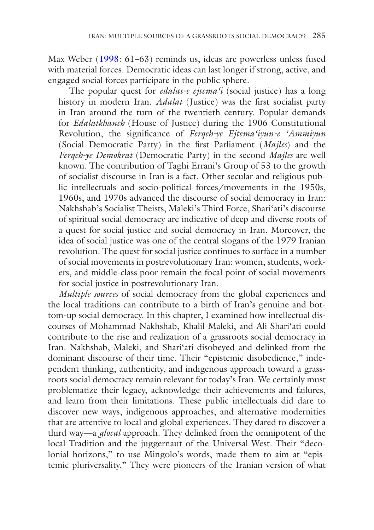Max Weber [\(1998:](#page-17-15) 61–63) reminds us, ideas are powerless unless fused with material forces. Democratic ideas can last longer if strong, active, and engaged social forces participate in the public sphere.

The popular quest for *edalat-e ejtema'i* (social justice) has a long history in modern Iran. *Adalat* (Justice) was the frst socialist party in Iran around the turn of the twentieth century. Popular demands for *Edalatkhaneh* (House of Justice) during the 1906 Constitutional Revolution, the signifcance of *Ferqeh-ye Ejtema'iyun-e 'Ammiyun* (Social Democratic Party) in the frst Parliament (*Majles*) and the *Ferqeh-ye Demokrat* (Democratic Party) in the second *Majles* are well known. The contribution of Taghi Errani's Group of 53 to the growth of socialist discourse in Iran is a fact. Other secular and religious public intellectuals and socio-political forces/movements in the 1950s, 1960s, and 1970s advanced the discourse of social democracy in Iran: Nakhshab's Socialist Theists, Maleki's Third Force, Shari'ati's discourse of spiritual social democracy are indicative of deep and diverse roots of a quest for social justice and social democracy in Iran. Moreover, the idea of social justice was one of the central slogans of the 1979 Iranian revolution. The quest for social justice continues to surface in a number of social movements in postrevolutionary Iran: women, students, workers, and middle-class poor remain the focal point of social movements for social justice in postrevolutionary Iran.

*Multiple sources* of social democracy from the global experiences and the local traditions can contribute to a birth of Iran's genuine and bottom-up social democracy. In this chapter, I examined how intellectual discourses of Mohammad Nakhshab, Khalil Maleki, and Ali Shari'ati could contribute to the rise and realization of a grassroots social democracy in Iran. Nakhshab, Maleki, and Shari'ati disobeyed and delinked from the dominant discourse of their time. Their "epistemic disobedience," independent thinking, authenticity, and indigenous approach toward a grassroots social democracy remain relevant for today's Iran. We certainly must problematize their legacy, acknowledge their achievements and failures, and learn from their limitations. These public intellectuals did dare to discover new ways, indigenous approaches, and alternative modernities that are attentive to local and global experiences. They dared to discover a third way—a *glocal* approach. They delinked from the omnipotent of the local Tradition and the juggernaut of the Universal West. Their "decolonial horizons," to use Mingolo's words, made them to aim at "epistemic pluriversality." They were pioneers of the Iranian version of what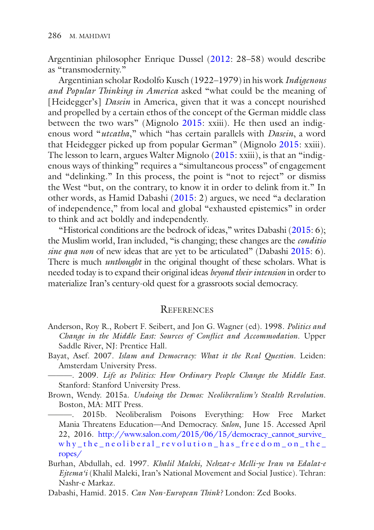Argentinian philosopher Enrique Dussel [\(2012:](#page-16-17) 28–58) would describe as "transmodernity."

Argentinian scholar Rodolfo Kusch (1922–1979) in his work *Indigenous and Popular Thinking in America* asked "what could be the meaning of [Heidegger's] *Dasein* in America, given that it was a concept nourished and propelled by a certain ethos of the concept of the German middle class between the two wars" (Mignolo [2015:](#page-16-7) xxiii). He then used an indigenous word "*utcatha*," which "has certain parallels with *Dasein*, a word that Heidegger picked up from popular German" (Mignolo [2015:](#page-16-7) xxiii). The lesson to learn, argues Walter Mignolo [\(2015:](#page-16-7) xxiii), is that an "indigenous ways of thinking" requires a "simultaneous process" of engagement and "delinking." In this process, the point is "not to reject" or dismiss the West "but, on the contrary, to know it in order to delink from it." In other words, as Hamid Dabashi [\(2015:](#page-15-6) 2) argues, we need "a declaration of independence," from local and global "exhausted epistemics" in order to think and act boldly and independently.

"Historical conditions are the bedrock of ideas," writes Dabashi [\(2015](#page-15-6): 6); the Muslim world, Iran included, "is changing; these changes are the *conditio sine qua non* of new ideas that are yet to be articulated" (Dabashi [2015](#page-15-6): 6). There is much *unthought* in the original thought of these scholars. What is needed today is to expand their original ideas *beyond their intension* in order to materialize Iran's century-old quest for a grassroots social democracy.

#### **REFERENCES**

- <span id="page-15-4"></span>Anderson, Roy R., Robert F. Seibert, and Jon G. Wagner (ed). 1998. *Politics and Change in the Middle East: Sources of Confict and Accommodation*. Upper Saddle River, NJ: Prentice Hall.
- <span id="page-15-3"></span>Bayat, Asef. 2007. *Islam and Democracy: What it the Real Question*. Leiden: Amsterdam University Press.

<span id="page-15-0"></span>———. 2009. *Life as Politics: How Ordinary People Change the Middle East*. Stanford: Stanford University Press.

<span id="page-15-1"></span>Brown, Wendy. 2015a. *Undoing the Demos: Neoliberalism's Stealth Revolution*. Boston, MA: MIT Press.

<span id="page-15-2"></span>———. 2015b. Neoliberalism Poisons Everything: How Free Market Mania Threatens Education—And Democracy. *Salon*, June 15. Accessed April 22, 2016. [http://www.salon.com/2015/06/15/democracy\\_cannot\\_survive\\_](http://www.salon.com/2015/06/15/democracy_cannot_survive_why_the_neoliberal_revolution_has_freedom_on_the_ropes/) [why\\_the\\_neoliberal\\_revolution\\_has\\_freedom\\_on\\_the\\_](http://www.salon.com/2015/06/15/democracy_cannot_survive_why_the_neoliberal_revolution_has_freedom_on_the_ropes/) [ropes/](http://www.salon.com/2015/06/15/democracy_cannot_survive_why_the_neoliberal_revolution_has_freedom_on_the_ropes/)

- <span id="page-15-5"></span>Burhan, Abdullah, ed. 1997. *Khalil Maleki, Nehzat-e Melli-ye Iran va Edalat-e Ejtema'i* (Khalil Maleki, Iran's National Movement and Social Justice). Tehran: Nashr-e Markaz.
- <span id="page-15-6"></span>Dabashi, Hamid. 2015. *Can Non-European Think?* London: Zed Books.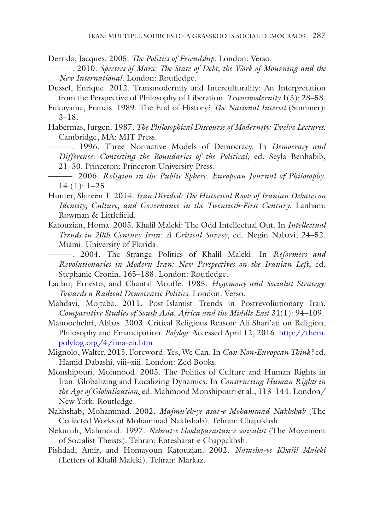<span id="page-16-2"></span>Derrida, Jacques. 2005. *The Politics of Friendship*. London: Verso.

<span id="page-16-1"></span>———. 2010. *Spectres of Marx: The State of Debt, the Work of Mourning and the New International*. London: Routledge.

- <span id="page-16-17"></span>Dussel, Enrique. 2012. Transmodernity and Interculturality: An Interpretation from the Perspective of Philosophy of Liberation. *Transmodernity* 1(3): 28–58.
- <span id="page-16-16"></span>Fukuyama, Francis. 1989. The End of History? *The National Interest* (Summer): 3–18.
- <span id="page-16-5"></span><span id="page-16-3"></span>Habermas, Jürgen. 1987. *The Philosophical Discourse of Modernity: Twelve Lectures*. Cambridge, MA: MIT Press.
	- ———. 1996. Three Normative Models of Democracy. In *Democracy and Difference: Contesting the Boundaries of the Political*, ed. Seyla Benhabib, 21–30. Princeton: Princeton University Press.
- <span id="page-16-4"></span>———. 2006. *Religion in the Public Sphere. European Journal of Philosophy*. 14 (1): 1–25.
- <span id="page-16-8"></span>Hunter, Shireen T. 2014. *Iran Divided: The Historical Roots of Iranian Debates on Identity, Culture, and Governance in the Twentieth-First Century*. Lanham: Rowman & Littlefeld.
- <span id="page-16-13"></span>Katouzian, Homa. 2003. Khalil Maleki: The Odd Intellectual Out. In *Intellectual Trends in 20th Century Iran: A Critical Survey*, ed. Negin Nabavi, 24–52. Miami: University of Florida.

<span id="page-16-12"></span>———. 2004. The Strange Politics of Khalil Maleki. In *Reformers and Revolutionaries in Modern Iran: New Perspectives on the Iranian Left*, ed. Stephanie Cronin, 165–188. London: Routledge.

- <span id="page-16-0"></span>Laclau, Ernesto, and Chantal Mouffe. 1985. *Hegemony and Socialist Strategy: Towards a Radical Democratic Politics*. London: Verso.
- <span id="page-16-14"></span>Mahdavi, Mojtaba. 2011. Post-Islamist Trends in Postrevoliutionary Iran. *Comparative Studies of South Asia, Africa and the Middle East* 31(1): 94–109.
- <span id="page-16-15"></span>Manoochehri, Abbas. 2003. Critical Religious Reason: Ali Shari'ati on Religion, Philosophy and Emancipation. *Polylog*. Accessed April 12, 2016. [http://them.](http://them.polylog.org/4/fma-en.htm) [polylog.org/4/fma-en.htm](http://them.polylog.org/4/fma-en.htm)
- <span id="page-16-7"></span>Mignolo, Walter. 2015. Foreword: Yes, We Can. In *Can Non-European Think?* ed. Hamid Dabashi, viii–xiii. London: Zed Books.
- <span id="page-16-6"></span>Monshipouri, Mohmood. 2003. The Politics of Culture and Human Rights in Iran: Globalizing and Localizing Dynamics. In *Constructing Human Rights in the Age of Globalization*, ed. Mahmood Monshipouri et al., 113–144. London/ New York: Routledge.
- <span id="page-16-9"></span>Nakhshab, Mohammad. 2002. *Majmu'eh-ye asar-e Mohammad Nakhshab* (The Collected Works of Mohammad Nakhshab). Tehran: Chapakhsh.
- <span id="page-16-10"></span>Nekuruh, Mahmoud. 1997. *Nehzat-e khodaparastan-e sosiyalist* (The Movement of Socialist Theists). Tehran: Entesharat-e Chappakhsh.
- <span id="page-16-11"></span>Pishdad, Amir, and Homayoun Katouzian. 2002. *Nameha-ye Khalil Maleki* (Letters of Khalil Maleki). Tehran: Markaz.